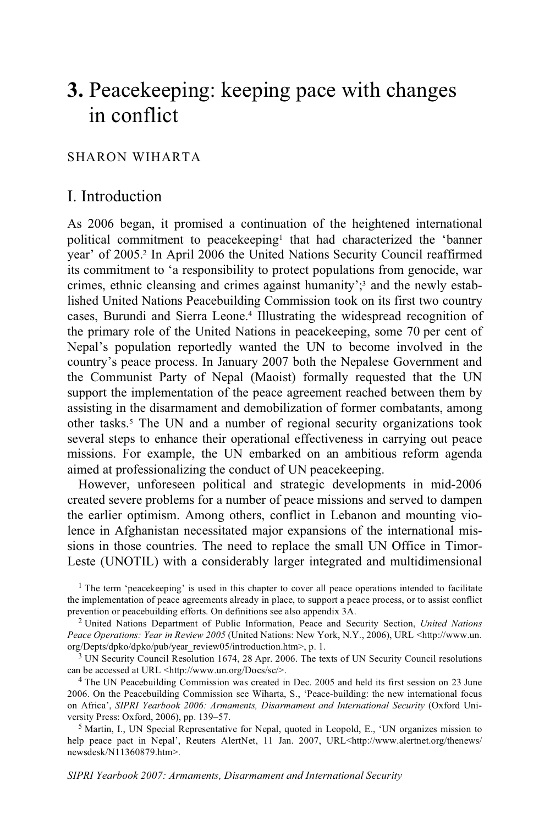# **3.** Peacekeeping: keeping pace with changes in conflict

# SHARON WIHARTA

# I. Introduction

As 2006 began, it promised a continuation of the heightened international political commitment to peacekeeping1 that had characterized the 'banner year' of 2005.2 In April 2006 the United Nations Security Council reaffirmed its commitment to 'a responsibility to protect populations from genocide, war crimes, ethnic cleansing and crimes against humanity';<sup>3</sup> and the newly established United Nations Peacebuilding Commission took on its first two country cases, Burundi and Sierra Leone.4 Illustrating the widespread recognition of the primary role of the United Nations in peacekeeping, some 70 per cent of Nepal's population reportedly wanted the UN to become involved in the country's peace process. In January 2007 both the Nepalese Government and the Communist Party of Nepal (Maoist) formally requested that the UN support the implementation of the peace agreement reached between them by assisting in the disarmament and demobilization of former combatants, among other tasks.5 The UN and a number of regional security organizations took several steps to enhance their operational effectiveness in carrying out peace missions. For example, the UN embarked on an ambitious reform agenda aimed at professionalizing the conduct of UN peacekeeping.

However, unforeseen political and strategic developments in mid-2006 created severe problems for a number of peace missions and served to dampen the earlier optimism. Among others, conflict in Lebanon and mounting violence in Afghanistan necessitated major expansions of the international missions in those countries. The need to replace the small UN Office in Timor-Leste (UNOTIL) with a considerably larger integrated and multidimensional

<sup>1</sup> The term 'peacekeeping' is used in this chapter to cover all peace operations intended to facilitate the implementation of peace agreements already in place, to support a peace process, or to assist conflict prevention or peacebuilding efforts. On definitions see also appendix 3A.

<sup>2</sup> United Nations Department of Public Information, Peace and Security Section, *United Nations Peace Operations: Year in Review 2005* (United Nations: New York, N.Y., 2006), URL <http://www.un. org/Depts/dpko/dpko/pub/year\_review05/introduction.htm>, p. 1.

<sup>3</sup> UN Security Council Resolution 1674, 28 Apr. 2006. The texts of UN Security Council resolutions can be accessed at URL  $\langle$ http://www.un.org/Docs/sc/ $\rangle$ .

<sup>4</sup> The UN Peacebuilding Commission was created in Dec. 2005 and held its first session on 23 June 2006. On the Peacebuilding Commission see Wiharta, S., 'Peace-building: the new international focus on Africa', *SIPRI Yearbook 2006: Armaments, Disarmament and International Security* (Oxford University Press: Oxford, 2006), pp. 139–57.<br><sup>5</sup> Martin, I., UN Special Representative for Nepal, quoted in Leopold, E., 'UN organizes mission to

help peace pact in Nepal', Reuters AlertNet, 11 Jan. 2007, URL<http://www.alertnet.org/thenews/ newsdesk/N11360879.htm>.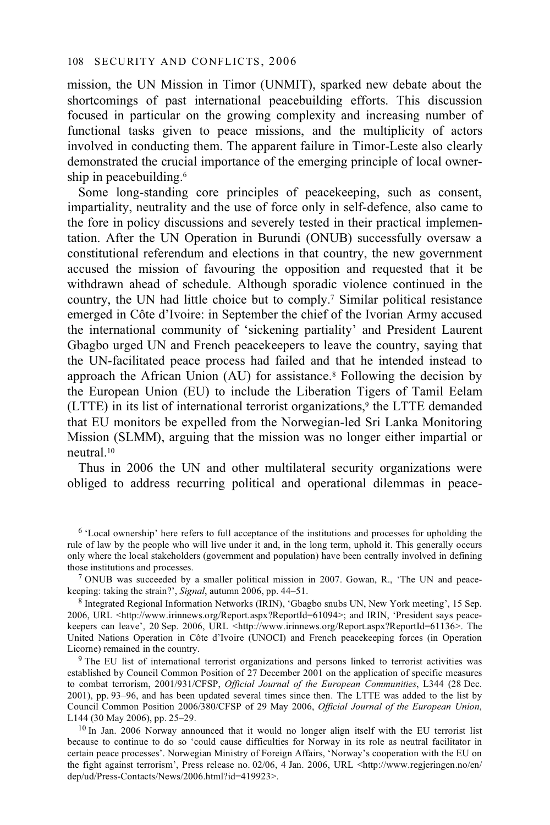mission, the UN Mission in Timor (UNMIT), sparked new debate about the shortcomings of past international peacebuilding efforts. This discussion focused in particular on the growing complexity and increasing number of functional tasks given to peace missions, and the multiplicity of actors involved in conducting them. The apparent failure in Timor-Leste also clearly demonstrated the crucial importance of the emerging principle of local ownership in peacebuilding.<sup>6</sup>

Some long-standing core principles of peacekeeping, such as consent, impartiality, neutrality and the use of force only in self-defence, also came to the fore in policy discussions and severely tested in their practical implementation. After the UN Operation in Burundi (ONUB) successfully oversaw a constitutional referendum and elections in that country, the new government accused the mission of favouring the opposition and requested that it be withdrawn ahead of schedule. Although sporadic violence continued in the country, the UN had little choice but to comply.7 Similar political resistance emerged in Côte d'Ivoire: in September the chief of the Ivorian Army accused the international community of 'sickening partiality' and President Laurent Gbagbo urged UN and French peacekeepers to leave the country, saying that the UN-facilitated peace process had failed and that he intended instead to approach the African Union (AU) for assistance.8 Following the decision by the European Union (EU) to include the Liberation Tigers of Tamil Eelam (LTTE) in its list of international terrorist organizations,<sup>9</sup> the LTTE demanded that EU monitors be expelled from the Norwegian-led Sri Lanka Monitoring Mission (SLMM), arguing that the mission was no longer either impartial or neutral.10

Thus in 2006 the UN and other multilateral security organizations were obliged to address recurring political and operational dilemmas in peace-

<sup>6 &#</sup>x27;Local ownership' here refers to full acceptance of the institutions and processes for upholding the rule of law by the people who will live under it and, in the long term, uphold it. This generally occurs only where the local stakeholders (government and population) have been centrally involved in defining those institutions and processes.

<sup>&</sup>lt;sup>7</sup> ONUB was succeeded by a smaller political mission in 2007. Gowan, R., 'The UN and peacekeeping: taking the strain?', *Signal*, autumn 2006, pp. 44–51.<br><sup>8</sup> Integrated Regional Information Networks (IRIN), 'Gbagbo snubs UN, New York meeting', 15 Sep.

<sup>2006,</sup> URL <http://www.irinnews.org/Report.aspx?ReportId=61094>; and IRIN, 'President says peacekeepers can leave', 20 Sep. 2006, URL <http://www.irinnews.org/Report.aspx?ReportId=61136>. The United Nations Operation in Côte d'Ivoire (UNOCI) and French peacekeeping forces (in Operation Licorne) remained in the country.

<sup>&</sup>lt;sup>9</sup> The EU list of international terrorist organizations and persons linked to terrorist activities was established by Council Common Position of 27 December 2001 on the application of specific measures to combat terrorism, 2001/931/CFSP, *Official Journal of the European Communities*, L344 (28 Dec. 2001), pp. 93–96, and has been updated several times since then. The LTTE was added to the list by Council Common Position 2006/380/CFSP of 29 May 2006, *Official Journal of the European Union*, L144 (30 May 2006), pp. 25–29.<br><sup>10</sup> In Jan. 2006 Norway announced that it would no longer align itself with the EU terrorist list

because to continue to do so 'could cause difficulties for Norway in its role as neutral facilitator in certain peace processes'. Norwegian Ministry of Foreign Affairs, 'Norway's cooperation with the EU on the fight against terrorism', Press release no. 02/06, 4 Jan. 2006, URL <http://www.regjeringen.no/en/ dep/ud/Press-Contacts/News/2006.html?id=419923>.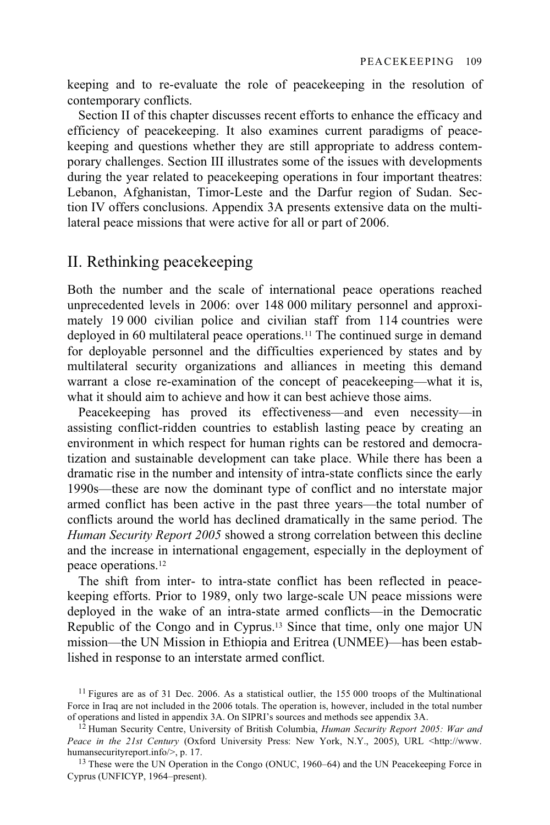keeping and to re-evaluate the role of peacekeeping in the resolution of contemporary conflicts.

Section II of this chapter discusses recent efforts to enhance the efficacy and efficiency of peacekeeping. It also examines current paradigms of peacekeeping and questions whether they are still appropriate to address contemporary challenges. Section III illustrates some of the issues with developments during the year related to peacekeeping operations in four important theatres: Lebanon, Afghanistan, Timor-Leste and the Darfur region of Sudan. Section IV offers conclusions. Appendix 3A presents extensive data on the multilateral peace missions that were active for all or part of 2006.

# II. Rethinking peacekeeping

Both the number and the scale of international peace operations reached unprecedented levels in 2006: over 148 000 military personnel and approximately 19 000 civilian police and civilian staff from 114 countries were deployed in 60 multilateral peace operations.11 The continued surge in demand for deployable personnel and the difficulties experienced by states and by multilateral security organizations and alliances in meeting this demand warrant a close re-examination of the concept of peacekeeping—what it is, what it should aim to achieve and how it can best achieve those aims.

Peacekeeping has proved its effectiveness—and even necessity—in assisting conflict-ridden countries to establish lasting peace by creating an environment in which respect for human rights can be restored and democratization and sustainable development can take place. While there has been a dramatic rise in the number and intensity of intra-state conflicts since the early 1990s—these are now the dominant type of conflict and no interstate major armed conflict has been active in the past three years—the total number of conflicts around the world has declined dramatically in the same period. The *Human Security Report 2005* showed a strong correlation between this decline and the increase in international engagement, especially in the deployment of peace operations.12

The shift from inter- to intra-state conflict has been reflected in peacekeeping efforts. Prior to 1989, only two large-scale UN peace missions were deployed in the wake of an intra-state armed conflicts—in the Democratic Republic of the Congo and in Cyprus.13 Since that time, only one major UN mission—the UN Mission in Ethiopia and Eritrea (UNMEE)—has been established in response to an interstate armed conflict.

<sup>&</sup>lt;sup>11</sup> Figures are as of 31 Dec. 2006. As a statistical outlier, the 155 000 troops of the Multinational Force in Iraq are not included in the 2006 totals. The operation is, however, included in the total number of operations and listed in appendix 3A. On SIPRI's sources and methods see appendix 3A.

<sup>&</sup>lt;sup>12</sup> Human Security Centre, University of British Columbia, *Human Security Report 2005: War and Peace in the 21st Century (Oxford University Press: New York, N.Y., 2005), URL <http://www.humansecurityreport.info/>, p. 17.* 

<sup>&</sup>lt;sup>13</sup> These were the UN Operation in the Congo (ONUC, 1960–64) and the UN Peacekeeping Force in Cyprus (UNFICYP, 1964–present).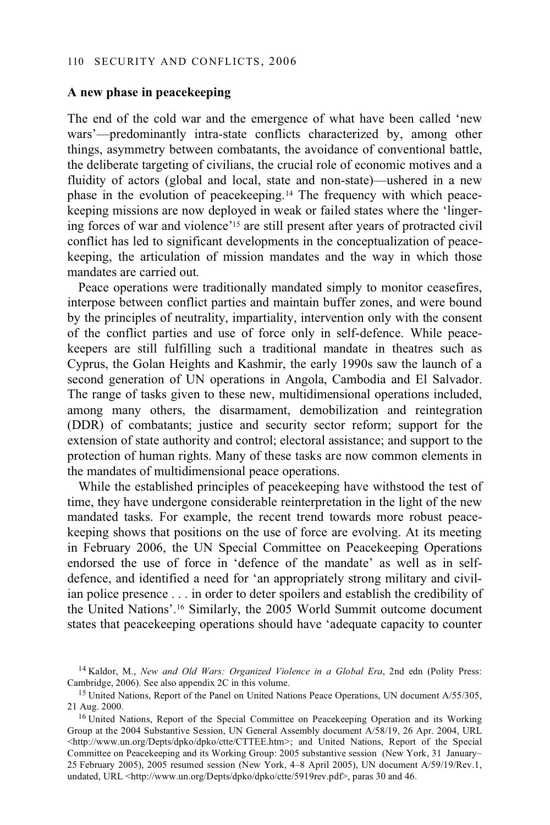## **A new phase in peacekeeping**

The end of the cold war and the emergence of what have been called 'new wars'––predominantly intra-state conflicts characterized by, among other things, asymmetry between combatants, the avoidance of conventional battle, the deliberate targeting of civilians, the crucial role of economic motives and a fluidity of actors (global and local, state and non-state)—ushered in a new phase in the evolution of peacekeeping.14 The frequency with which peacekeeping missions are now deployed in weak or failed states where the 'lingering forces of war and violence'15 are still present after years of protracted civil conflict has led to significant developments in the conceptualization of peacekeeping, the articulation of mission mandates and the way in which those mandates are carried out.

Peace operations were traditionally mandated simply to monitor ceasefires, interpose between conflict parties and maintain buffer zones, and were bound by the principles of neutrality, impartiality, intervention only with the consent of the conflict parties and use of force only in self-defence. While peacekeepers are still fulfilling such a traditional mandate in theatres such as Cyprus, the Golan Heights and Kashmir, the early 1990s saw the launch of a second generation of UN operations in Angola, Cambodia and El Salvador. The range of tasks given to these new, multidimensional operations included, among many others, the disarmament, demobilization and reintegration (DDR) of combatants; justice and security sector reform; support for the extension of state authority and control; electoral assistance; and support to the protection of human rights. Many of these tasks are now common elements in the mandates of multidimensional peace operations.

While the established principles of peacekeeping have withstood the test of time, they have undergone considerable reinterpretation in the light of the new mandated tasks. For example, the recent trend towards more robust peacekeeping shows that positions on the use of force are evolving. At its meeting in February 2006, the UN Special Committee on Peacekeeping Operations endorsed the use of force in 'defence of the mandate' as well as in selfdefence, and identified a need for 'an appropriately strong military and civilian police presence . . . in order to deter spoilers and establish the credibility of the United Nations'.16 Similarly, the 2005 World Summit outcome document states that peacekeeping operations should have 'adequate capacity to counter

<sup>14</sup> Kaldor, M., *New and Old Wars: Organized Violence in a Global Era*, 2nd edn (Polity Press: Cambridge, 2006). See also appendix 2C in this volume.

<sup>&</sup>lt;sup>15</sup> United Nations, Report of the Panel on United Nations Peace Operations, UN document A/55/305, 21 Aug. 2000.

<sup>&</sup>lt;sup>16</sup> United Nations, Report of the Special Committee on Peacekeeping Operation and its Working Group at the 2004 Substantive Session, UN General Assembly document A/58/19, 26 Apr. 2004, URL <http://www.un.org/Depts/dpko/dpko/ctte/CTTEE.htm>; and United Nations, Report of the Special Committee on Peacekeeping and its Working Group: 2005 substantive session (New York, 31 January– 25 February 2005), 2005 resumed session (New York, 4–8 April 2005), UN document A/59/19/Rev.1, undated, URL <http://www.un.org/Depts/dpko/dpko/ctte/5919rev.pdf>, paras 30 and 46.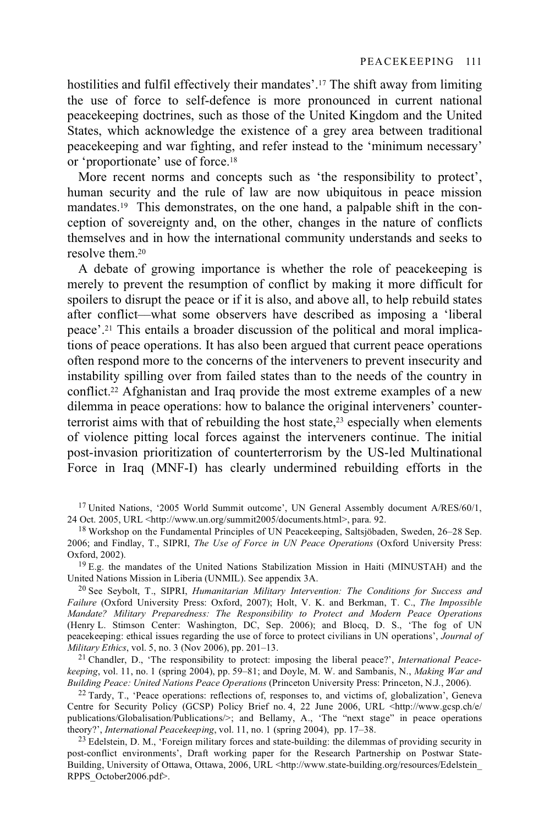hostilities and fulfil effectively their mandates'.17 The shift away from limiting the use of force to self-defence is more pronounced in current national peacekeeping doctrines, such as those of the United Kingdom and the United States, which acknowledge the existence of a grey area between traditional peacekeeping and war fighting, and refer instead to the 'minimum necessary' or 'proportionate' use of force.18

More recent norms and concepts such as 'the responsibility to protect', human security and the rule of law are now ubiquitous in peace mission mandates.19 This demonstrates, on the one hand, a palpable shift in the conception of sovereignty and, on the other, changes in the nature of conflicts themselves and in how the international community understands and seeks to resolve them.20

A debate of growing importance is whether the role of peacekeeping is merely to prevent the resumption of conflict by making it more difficult for spoilers to disrupt the peace or if it is also, and above all, to help rebuild states after conflict––what some observers have described as imposing a 'liberal peace'.21 This entails a broader discussion of the political and moral implications of peace operations. It has also been argued that current peace operations often respond more to the concerns of the interveners to prevent insecurity and instability spilling over from failed states than to the needs of the country in conflict.22 Afghanistan and Iraq provide the most extreme examples of a new dilemma in peace operations: how to balance the original interveners' counterterrorist aims with that of rebuilding the host state,<sup>23</sup> especially when elements of violence pitting local forces against the interveners continue. The initial post-invasion prioritization of counterterrorism by the US-led Multinational Force in Iraq (MNF-I) has clearly undermined rebuilding efforts in the

<sup>17</sup> United Nations, '2005 World Summit outcome', UN General Assembly document A/RES/60/1, 24 Oct. 2005. URL <http://www.un.org/summit2005/documents.html>. para. 92.

 $^{19}$  E.g. the mandates of the United Nations Stabilization Mission in Haiti (MINUSTAH) and the United Nations Mission in Liberia (UNMIL). See appendix 3A.

<sup>20</sup> See Seybolt, T., SIPRI, *Humanitarian Military Intervention: The Conditions for Success and Failure* (Oxford University Press: Oxford, 2007); Holt, V. K. and Berkman, T. C., *The Impossible Mandate? Military Preparedness: The Responsibility to Protect and Modern Peace Operations* (Henry L. Stimson Center: Washington, DC, Sep. 2006); and Blocq, D. S., 'The fog of UN peacekeeping: ethical issues regarding the use of force to protect civilians in UN operations', *Journal of Military Ethics*, vol. 5, no. 3 (Nov 2006), pp. 201–13.

21 Chandler, D., 'The responsibility to protect: imposing the liberal peace?', *International Peacekeeping*, vol. 11, no. 1 (spring 2004), pp. 59–81; and Doyle, M. W. and Sambanis, N., *Making War and* 

<sup>22</sup> Tardy, T., 'Peace operations: reflections of, responses to, and victims of, globalization', Geneva Centre for Security Policy (GCSP) Policy Brief no. 4, 22 June 2006, URL <http://www.gcsp.ch/e/ publications/Globalisation/Publications/>; and Bellamy, A., 'The "next stage" in peace operations theory?', *International Peacekeeping*, vol. 11, no. 1 (spring 2004), pp. 17–38.<br><sup>23</sup> Edelstein, D. M., 'Foreign military forces and state-building: the dilemmas of providing security in

post-conflict environments', Draft working paper for the Research Partnership on Postwar State-Building, University of Ottawa, Ottawa, 2006, URL <http://www.state-building.org/resources/Edelstein\_ RPPS\_October2006.pdf>.

<sup>&</sup>lt;sup>18</sup> Workshop on the Fundamental Principles of UN Peacekeeping, Saltsjöbaden, Sweden, 26–28 Sep. 2006; and Findlay, T., SIPRI, *The Use of Force in UN Peace Operations* (Oxford University Press: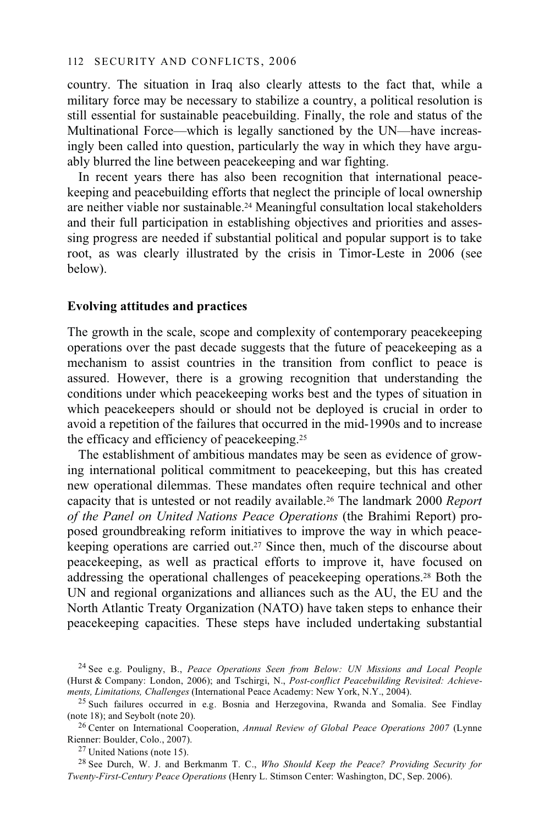country. The situation in Iraq also clearly attests to the fact that, while a military force may be necessary to stabilize a country, a political resolution is still essential for sustainable peacebuilding. Finally, the role and status of the Multinational Force—which is legally sanctioned by the UN—have increasingly been called into question, particularly the way in which they have arguably blurred the line between peacekeeping and war fighting.

In recent years there has also been recognition that international peacekeeping and peacebuilding efforts that neglect the principle of local ownership are neither viable nor sustainable.24 Meaningful consultation local stakeholders and their full participation in establishing objectives and priorities and assessing progress are needed if substantial political and popular support is to take root, as was clearly illustrated by the crisis in Timor-Leste in 2006 (see below).

#### **Evolving attitudes and practices**

The growth in the scale, scope and complexity of contemporary peacekeeping operations over the past decade suggests that the future of peacekeeping as a mechanism to assist countries in the transition from conflict to peace is assured. However, there is a growing recognition that understanding the conditions under which peacekeeping works best and the types of situation in which peacekeepers should or should not be deployed is crucial in order to avoid a repetition of the failures that occurred in the mid-1990s and to increase the efficacy and efficiency of peacekeeping.25

The establishment of ambitious mandates may be seen as evidence of growing international political commitment to peacekeeping, but this has created new operational dilemmas. These mandates often require technical and other capacity that is untested or not readily available.26 The landmark 2000 *Report of the Panel on United Nations Peace Operations* (the Brahimi Report) proposed groundbreaking reform initiatives to improve the way in which peacekeeping operations are carried out.27 Since then, much of the discourse about peacekeeping, as well as practical efforts to improve it, have focused on addressing the operational challenges of peacekeeping operations.28 Both the UN and regional organizations and alliances such as the AU, the EU and the North Atlantic Treaty Organization (NATO) have taken steps to enhance their peacekeeping capacities. These steps have included undertaking substantial

<sup>24</sup> See e.g. Pouligny, B., *Peace Operations Seen from Below: UN Missions and Local People* (Hurst & Company: London, 2006); and Tschirgi, N., *Post-conflict Peacebuilding Revisited: Achievements, Limitations, Challenges* (International Peace Academy: New York, N.Y., 2004).<br><sup>25</sup> Such failures occurred in e.g. Bosnia and Herzegovina, Rwanda and Somalia. See Findlay

<sup>(</sup>note 18); and Seybolt (note 20).

<sup>26</sup> Center on International Cooperation, *Annual Review of Global Peace Operations 2007* (Lynne Rienner: Boulder, Colo., 2007). 27 United Nations (note 15).

<sup>28</sup> See Durch, W. J. and Berkmanm T. C., *Who Should Keep the Peace? Providing Security for Twenty-First-Century Peace Operations* (Henry L. Stimson Center: Washington, DC, Sep. 2006).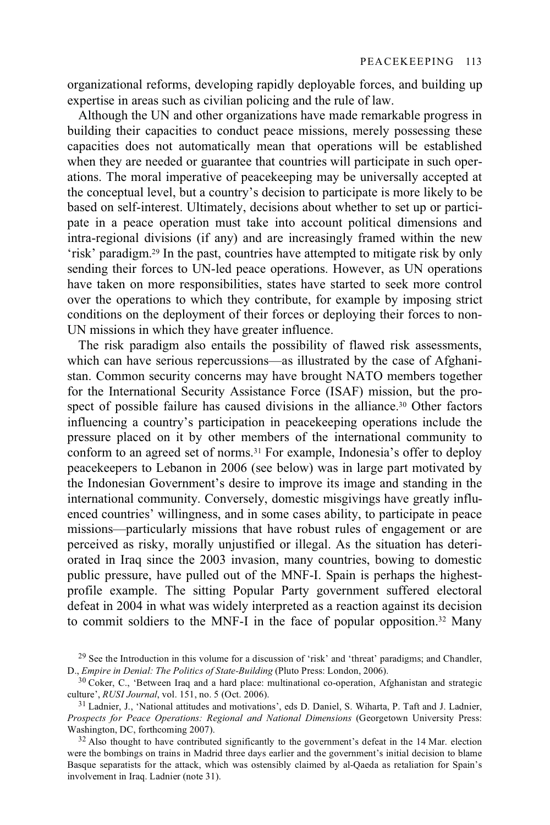organizational reforms, developing rapidly deployable forces, and building up expertise in areas such as civilian policing and the rule of law.

Although the UN and other organizations have made remarkable progress in building their capacities to conduct peace missions, merely possessing these capacities does not automatically mean that operations will be established when they are needed or guarantee that countries will participate in such operations. The moral imperative of peacekeeping may be universally accepted at the conceptual level, but a country's decision to participate is more likely to be based on self-interest. Ultimately, decisions about whether to set up or participate in a peace operation must take into account political dimensions and intra-regional divisions (if any) and are increasingly framed within the new 'risk' paradigm.29 In the past, countries have attempted to mitigate risk by only sending their forces to UN-led peace operations. However, as UN operations have taken on more responsibilities, states have started to seek more control over the operations to which they contribute, for example by imposing strict conditions on the deployment of their forces or deploying their forces to non-UN missions in which they have greater influence.

The risk paradigm also entails the possibility of flawed risk assessments, which can have serious repercussions—as illustrated by the case of Afghanistan. Common security concerns may have brought NATO members together for the International Security Assistance Force (ISAF) mission, but the prospect of possible failure has caused divisions in the alliance.<sup>30</sup> Other factors influencing a country's participation in peacekeeping operations include the pressure placed on it by other members of the international community to conform to an agreed set of norms.31 For example, Indonesia's offer to deploy peacekeepers to Lebanon in 2006 (see below) was in large part motivated by the Indonesian Government's desire to improve its image and standing in the international community. Conversely, domestic misgivings have greatly influenced countries' willingness, and in some cases ability, to participate in peace missions—particularly missions that have robust rules of engagement or are perceived as risky, morally unjustified or illegal. As the situation has deteriorated in Iraq since the 2003 invasion, many countries, bowing to domestic public pressure, have pulled out of the MNF-I. Spain is perhaps the highestprofile example. The sitting Popular Party government suffered electoral defeat in 2004 in what was widely interpreted as a reaction against its decision to commit soldiers to the MNF-I in the face of popular opposition.32 Many

<sup>&</sup>lt;sup>29</sup> See the Introduction in this volume for a discussion of 'risk' and 'threat' paradigms; and Chandler, D., *Empire in Denial: The Politics of State-Building* (Pluto Press: London, 2006).

<sup>&</sup>lt;sup>30</sup> Coker, C., 'Between Iraq and a hard place: multinational co-operation, Afghanistan and strategic culture', *RUSI Journal*, vol. 151, no. 5 (Oct. 2006).

<sup>&</sup>lt;sup>31</sup> Ladnier, J., 'National attitudes and motivations', eds D. Daniel, S. Wiharta, P. Taft and J. Ladnier, *Prospects for Peace Operations: Regional and National Dimensions* (Georgetown University Press:

 $32$  Also thought to have contributed significantly to the government's defeat in the 14 Mar. election were the bombings on trains in Madrid three days earlier and the government's initial decision to blame Basque separatists for the attack, which was ostensibly claimed by al-Qaeda as retaliation for Spain's involvement in Iraq. Ladnier (note 31).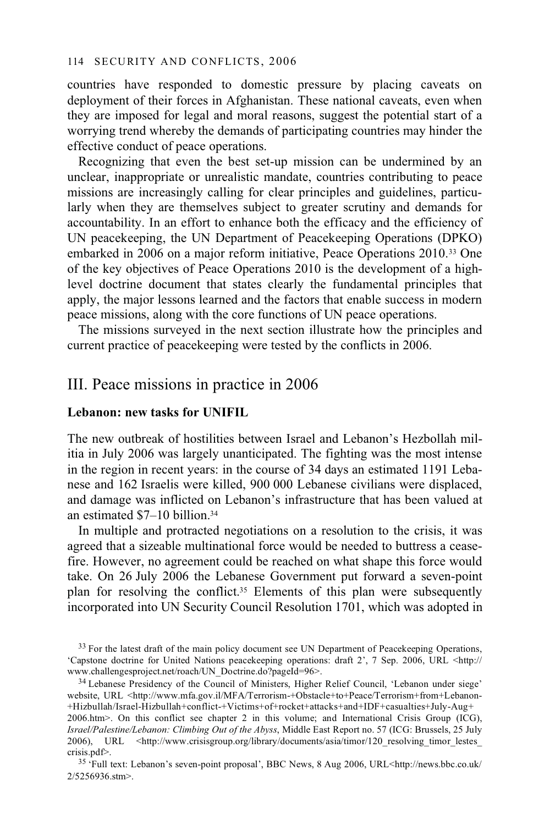countries have responded to domestic pressure by placing caveats on deployment of their forces in Afghanistan. These national caveats, even when they are imposed for legal and moral reasons, suggest the potential start of a worrying trend whereby the demands of participating countries may hinder the effective conduct of peace operations.

Recognizing that even the best set-up mission can be undermined by an unclear, inappropriate or unrealistic mandate, countries contributing to peace missions are increasingly calling for clear principles and guidelines, particularly when they are themselves subject to greater scrutiny and demands for accountability. In an effort to enhance both the efficacy and the efficiency of UN peacekeeping, the UN Department of Peacekeeping Operations (DPKO) embarked in 2006 on a major reform initiative, Peace Operations 2010.33 One of the key objectives of Peace Operations 2010 is the development of a highlevel doctrine document that states clearly the fundamental principles that apply, the major lessons learned and the factors that enable success in modern peace missions, along with the core functions of UN peace operations.

The missions surveyed in the next section illustrate how the principles and current practice of peacekeeping were tested by the conflicts in 2006.

# III. Peace missions in practice in 2006

## **Lebanon: new tasks for UNIFIL**

The new outbreak of hostilities between Israel and Lebanon's Hezbollah militia in July 2006 was largely unanticipated. The fighting was the most intense in the region in recent years: in the course of 34 days an estimated 1191 Lebanese and 162 Israelis were killed, 900 000 Lebanese civilians were displaced, and damage was inflicted on Lebanon's infrastructure that has been valued at an estimated \$7–10 billion.34

In multiple and protracted negotiations on a resolution to the crisis, it was agreed that a sizeable multinational force would be needed to buttress a ceasefire. However, no agreement could be reached on what shape this force would take. On 26 July 2006 the Lebanese Government put forward a seven-point plan for resolving the conflict.35 Elements of this plan were subsequently incorporated into UN Security Council Resolution 1701, which was adopted in

<sup>34</sup> Lebanese Presidency of the Council of Ministers, Higher Relief Council, 'Lebanon under siege' website, URL <http://www.mfa.gov.il/MFA/Terrorism-+Obstacle+to+Peace/Terrorism+from+Lebanon-+Hizbullah/Israel-Hizbullah+conflict-+Victims+of+rocket+attacks+and+IDF+casualties+July-Aug+ 2006.htm>. On this conflict see chapter 2 in this volume; and International Crisis Group (ICG), *Israel/Palestine/Lebanon: Climbing Out of the Abyss*, Middle East Report no. 57 (ICG: Brussels, 25 July 2006), URL <http://www.crisisgroup.org/library/documents/asia/timor/120 resolving timor lestes crisis.pdf>.

35 'Full text: Lebanon's seven-point proposal', BBC News, 8 Aug 2006, URL<http://news.bbc.co.uk/ 2/5256936.stm>.

<sup>&</sup>lt;sup>33</sup> For the latest draft of the main policy document see UN Department of Peacekeeping Operations, 'Capstone doctrine for United Nations peacekeeping operations: draft 2', 7 Sep. 2006, URL <http://www.challengesproject.net/roach/UN\_Doctrine.do?pageId=96>.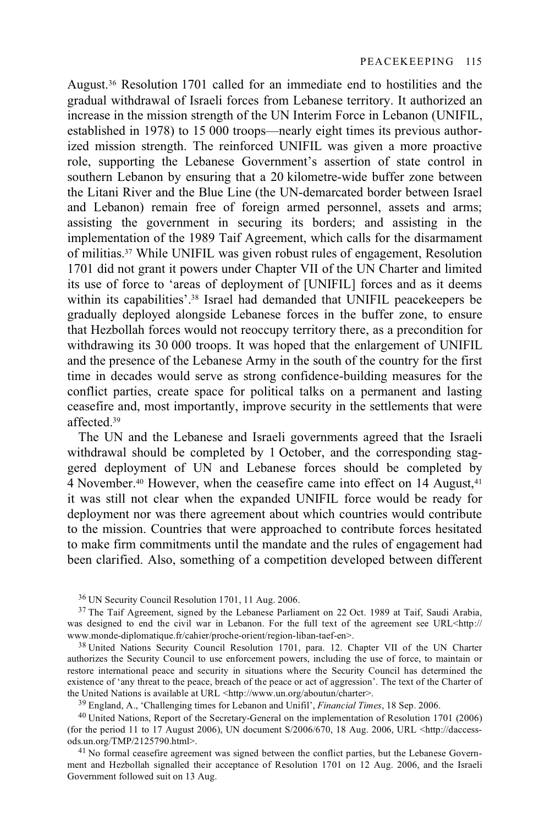August.36 Resolution 1701 called for an immediate end to hostilities and the gradual withdrawal of Israeli forces from Lebanese territory. It authorized an increase in the mission strength of the UN Interim Force in Lebanon (UNIFIL, established in 1978) to 15 000 troops—nearly eight times its previous authorized mission strength. The reinforced UNIFIL was given a more proactive role, supporting the Lebanese Government's assertion of state control in southern Lebanon by ensuring that a 20 kilometre-wide buffer zone between the Litani River and the Blue Line (the UN-demarcated border between Israel and Lebanon) remain free of foreign armed personnel, assets and arms; assisting the government in securing its borders; and assisting in the implementation of the 1989 Taif Agreement, which calls for the disarmament of militias.37 While UNIFIL was given robust rules of engagement, Resolution 1701 did not grant it powers under Chapter VII of the UN Charter and limited its use of force to 'areas of deployment of [UNIFIL] forces and as it deems within its capabilities'.<sup>38</sup> Israel had demanded that UNIFIL peacekeepers be gradually deployed alongside Lebanese forces in the buffer zone, to ensure that Hezbollah forces would not reoccupy territory there, as a precondition for withdrawing its 30 000 troops. It was hoped that the enlargement of UNIFIL and the presence of the Lebanese Army in the south of the country for the first time in decades would serve as strong confidence-building measures for the conflict parties, create space for political talks on a permanent and lasting ceasefire and, most importantly, improve security in the settlements that were affected<sup>39</sup>

The UN and the Lebanese and Israeli governments agreed that the Israeli withdrawal should be completed by 1 October, and the corresponding staggered deployment of UN and Lebanese forces should be completed by 4 November.<sup>40</sup> However, when the ceasefire came into effect on 14 August,<sup>41</sup> it was still not clear when the expanded UNIFIL force would be ready for deployment nor was there agreement about which countries would contribute to the mission. Countries that were approached to contribute forces hesitated to make firm commitments until the mandate and the rules of engagement had been clarified. Also, something of a competition developed between different

authorizes the Security Council to use enforcement powers, including the use of force, to maintain or restore international peace and security in situations where the Security Council has determined the existence of 'any threat to the peace, breach of the peace or act of aggression'. The text of the Charter of the United Nations is available at URL  $\langle \text{http://www.un.org/aboutun/charter>}{39}$  England, A., 'Challenging times for Lebanon and Unifil', *Financial Times*, 18 Sep. 2006.

<sup>40</sup> United Nations, Report of the Secretary-General on the implementation of Resolution 1701 (2006) (for the period 11 to 17 August 2006), UN document S/2006/670, 18 Aug. 2006, URL <http://daccess-

<sup>41</sup> No formal ceasefire agreement was signed between the conflict parties, but the Lebanese Government and Hezbollah signalled their acceptance of Resolution 1701 on 12 Aug. 2006, and the Israeli Government followed suit on 13 Aug.

<sup>36</sup> UN Security Council Resolution 1701, 11 Aug. 2006.

<sup>&</sup>lt;sup>37</sup> The Taif Agreement, signed by the Lebanese Parliament on 22 Oct. 1989 at Taif, Saudi Arabia, was designed to end the civil war in Lebanon. For the full text of the agreement see URL<http:// www.monde-diplomatique.fr/cahier/proche-orient/region-liban-taef-en>.<br><sup>38</sup> United Nations Security Council Resolution 1701, para. 12. Chapter VII of the UN Charter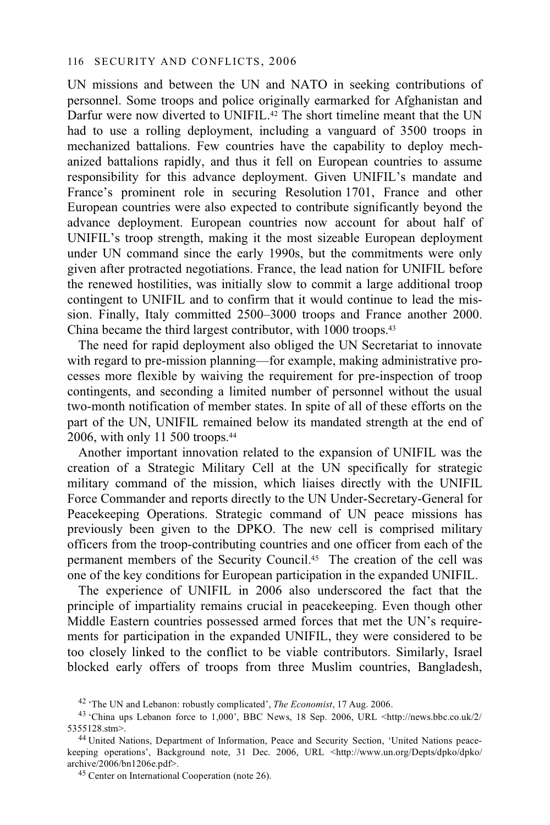UN missions and between the UN and NATO in seeking contributions of personnel. Some troops and police originally earmarked for Afghanistan and Darfur were now diverted to UNIFIL.<sup>42</sup> The short timeline meant that the UN had to use a rolling deployment, including a vanguard of 3500 troops in mechanized battalions. Few countries have the capability to deploy mechanized battalions rapidly, and thus it fell on European countries to assume responsibility for this advance deployment. Given UNIFIL's mandate and France's prominent role in securing Resolution 1701, France and other European countries were also expected to contribute significantly beyond the advance deployment. European countries now account for about half of UNIFIL's troop strength, making it the most sizeable European deployment under UN command since the early 1990s, but the commitments were only given after protracted negotiations. France, the lead nation for UNIFIL before the renewed hostilities, was initially slow to commit a large additional troop contingent to UNIFIL and to confirm that it would continue to lead the mission. Finally, Italy committed 2500–3000 troops and France another 2000. China became the third largest contributor, with 1000 troops.43

The need for rapid deployment also obliged the UN Secretariat to innovate with regard to pre-mission planning—for example, making administrative processes more flexible by waiving the requirement for pre-inspection of troop contingents, and seconding a limited number of personnel without the usual two-month notification of member states. In spite of all of these efforts on the part of the UN, UNIFIL remained below its mandated strength at the end of 2006, with only 11 500 troops.44

Another important innovation related to the expansion of UNIFIL was the creation of a Strategic Military Cell at the UN specifically for strategic military command of the mission, which liaises directly with the UNIFIL Force Commander and reports directly to the UN Under-Secretary-General for Peacekeeping Operations. Strategic command of UN peace missions has previously been given to the DPKO. The new cell is comprised military officers from the troop-contributing countries and one officer from each of the permanent members of the Security Council.45 The creation of the cell was one of the key conditions for European participation in the expanded UNIFIL.

The experience of UNIFIL in 2006 also underscored the fact that the principle of impartiality remains crucial in peacekeeping. Even though other Middle Eastern countries possessed armed forces that met the UN's requirements for participation in the expanded UNIFIL, they were considered to be too closely linked to the conflict to be viable contributors. Similarly, Israel blocked early offers of troops from three Muslim countries, Bangladesh,

<sup>42 &#</sup>x27;The UN and Lebanon: robustly complicated', *The Economist*, 17 Aug. 2006. 43 'China ups Lebanon force to 1,000', BBC News, 18 Sep. 2006, URL <http://news.bbc.co.uk/2/ 5355128.stm>.<br><sup>44</sup> United Nations, Department of Information, Peace and Security Section, 'United Nations peace-

keeping operations', Background note, 31 Dec. 2006, URL <http://www.un.org/Depts/dpko/dpko/ archive/2006/bn1206e.pdf>. 45 Center on International Cooperation (note 26).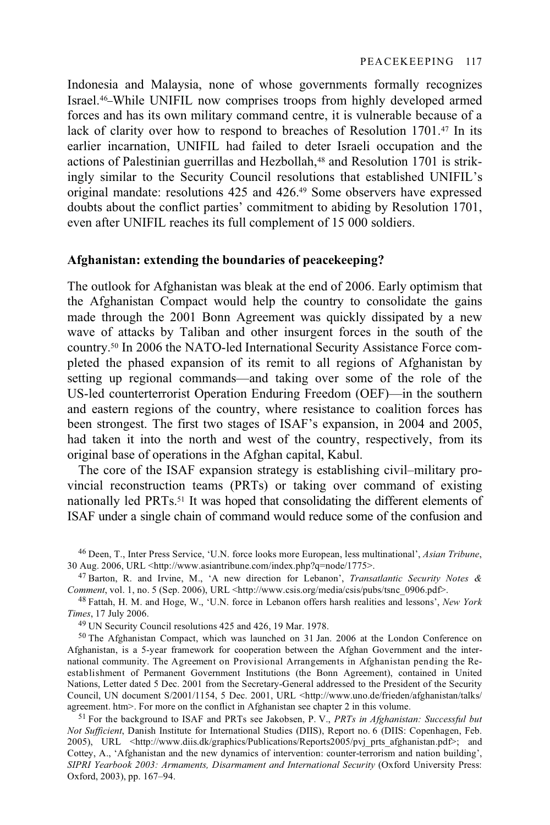Indonesia and Malaysia, none of whose governments formally recognizes Israel.46 While UNIFIL now comprises troops from highly developed armed forces and has its own military command centre, it is vulnerable because of a lack of clarity over how to respond to breaches of Resolution 1701.<sup>47</sup> In its earlier incarnation, UNIFIL had failed to deter Israeli occupation and the actions of Palestinian guerrillas and Hezbollah,<sup>48</sup> and Resolution 1701 is strikingly similar to the Security Council resolutions that established UNIFIL's original mandate: resolutions 425 and 426.49 Some observers have expressed doubts about the conflict parties' commitment to abiding by Resolution 1701, even after UNIFIL reaches its full complement of 15 000 soldiers.

## **Afghanistan: extending the boundaries of peacekeeping?**

The outlook for Afghanistan was bleak at the end of 2006. Early optimism that the Afghanistan Compact would help the country to consolidate the gains made through the 2001 Bonn Agreement was quickly dissipated by a new wave of attacks by Taliban and other insurgent forces in the south of the country.50 In 2006 the NATO-led International Security Assistance Force completed the phased expansion of its remit to all regions of Afghanistan by setting up regional commands—and taking over some of the role of the US-led counterterrorist Operation Enduring Freedom (OEF)—in the southern and eastern regions of the country, where resistance to coalition forces has been strongest. The first two stages of ISAF's expansion, in 2004 and 2005, had taken it into the north and west of the country, respectively, from its original base of operations in the Afghan capital, Kabul.

The core of the ISAF expansion strategy is establishing civil–military provincial reconstruction teams (PRTs) or taking over command of existing nationally led PRTs.51 It was hoped that consolidating the different elements of ISAF under a single chain of command would reduce some of the confusion and

<sup>46</sup> Deen, T., Inter Press Service, 'U.N. force looks more European, less multinational', *Asian Tribune*,

<sup>30</sup> Aug. 2006, URL <http://www.asiantribune.com/index.php?q=node/1775>.<br><sup>47</sup> Barton, R. and Irvine, M., 'A new direction for Lebanon', *Transatlantic Security Notes & Comment*, vol. 1, no. 5 (Sep. 2006), URL <http://www.csi

<sup>&</sup>lt;sup>48</sup> Fattah, H. M. and Hoge, W., 'U.N. force in Lebanon offers harsh realities and lessons', *New York Times*, 17 July 2006.

<sup>&</sup>lt;sup>49</sup> UN Security Council resolutions 425 and 426, 19 Mar. 1978.

<sup>50</sup> The Afghanistan Compact, which was launched on 31 Jan. 2006 at the London Conference on Afghanistan, is a 5-year framework for cooperation between the Afghan Government and the international community. The Agreement on Provisional Arrangements in Afghanistan pending the Reestablishment of Permanent Government Institutions (the Bonn Agreement), contained in United Nations, Letter dated 5 Dec. 2001 from the Secretary-General addressed to the President of the Security Council, UN document S/2001/1154, 5 Dec. 2001, URL <http://www.uno.de/frieden/afghanistan/talks/ agreement. htm>. For more on the conflict in Afghanistan see chapter 2 in this volume.

<sup>&</sup>lt;sup>51</sup> For the background to ISAF and PRTs see Jakobsen, P. V., *PRTs in Afghanistan: Successful but Not Sufficient*, Danish Institute for International Studies (DIIS), Report no. 6 (DIIS: Copenhagen, Feb. 2005), URL <http://www.diis.dk/graphics/Publications/Reports2005/pvj prts afghanistan.pdf>; and Cottey, A., 'Afghanistan and the new dynamics of intervention: counter-terrorism and nation building', *SIPRI Yearbook 2003: Armaments, Disarmament and International Security* (Oxford University Press: Oxford, 2003), pp. 167–94.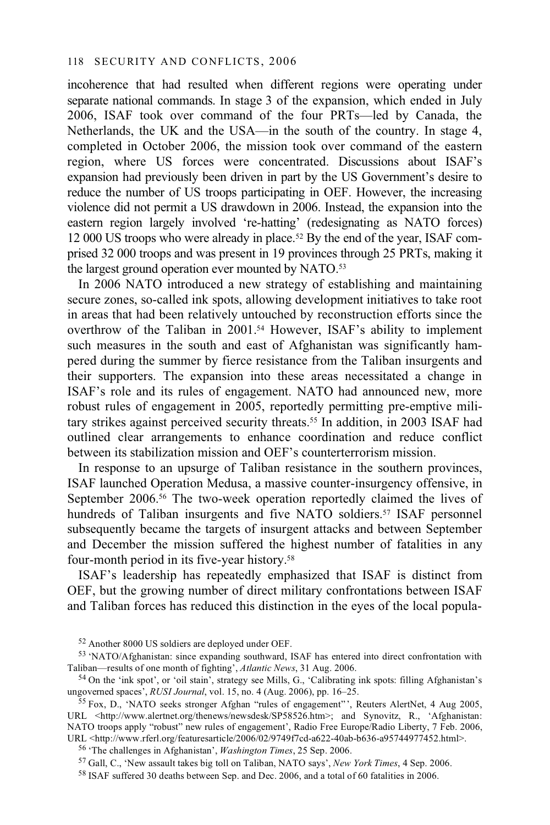incoherence that had resulted when different regions were operating under separate national commands. In stage 3 of the expansion, which ended in July 2006, ISAF took over command of the four PRTs—led by Canada, the Netherlands, the UK and the USA—in the south of the country. In stage 4, completed in October 2006, the mission took over command of the eastern region, where US forces were concentrated. Discussions about ISAF's expansion had previously been driven in part by the US Government's desire to reduce the number of US troops participating in OEF. However, the increasing violence did not permit a US drawdown in 2006. Instead, the expansion into the eastern region largely involved 're-hatting' (redesignating as NATO forces) 12 000 US troops who were already in place.52 By the end of the year, ISAF comprised 32 000 troops and was present in 19 provinces through 25 PRTs, making it the largest ground operation ever mounted by NATO.53

In 2006 NATO introduced a new strategy of establishing and maintaining secure zones, so-called ink spots, allowing development initiatives to take root in areas that had been relatively untouched by reconstruction efforts since the overthrow of the Taliban in 2001.54 However, ISAF's ability to implement such measures in the south and east of Afghanistan was significantly hampered during the summer by fierce resistance from the Taliban insurgents and their supporters. The expansion into these areas necessitated a change in ISAF's role and its rules of engagement. NATO had announced new, more robust rules of engagement in 2005, reportedly permitting pre-emptive military strikes against perceived security threats.55 In addition, in 2003 ISAF had outlined clear arrangements to enhance coordination and reduce conflict between its stabilization mission and OEF's counterterrorism mission.

In response to an upsurge of Taliban resistance in the southern provinces, ISAF launched Operation Medusa, a massive counter-insurgency offensive, in September 2006.<sup>56</sup> The two-week operation reportedly claimed the lives of hundreds of Taliban insurgents and five NATO soldiers.<sup>57</sup> ISAF personnel subsequently became the targets of insurgent attacks and between September and December the mission suffered the highest number of fatalities in any four-month period in its five-year history.58

ISAF's leadership has repeatedly emphasized that ISAF is distinct from OEF, but the growing number of direct military confrontations between ISAF and Taliban forces has reduced this distinction in the eyes of the local popula-

<sup>56</sup> 'The challenges in Afghanistan', *Washington Times*, 25 Sep. 2006.<br><sup>57</sup> Gall, C., 'New assault takes big toll on Taliban, NATO says', *New York Times*, 4 Sep. 2006.<br><sup>58</sup> ISAF suffered 30 deaths between Sep. and Dec.

<sup>52</sup> Another 8000 US soldiers are deployed under OEF.

<sup>53 &#</sup>x27;NATO/Afghanistan: since expanding southward, ISAF has entered into direct confrontation with Taliban—results of one month of fighting', *Atlantic News*, 31 Aug. 2006.

<sup>&</sup>lt;sup>54</sup> On the 'ink spot', or 'oil stain', strategy see Mills, G., 'Calibrating ink spots: filling Afghanistan's ungoverned spaces', *RUSI Journal*, vol. 15, no. 4 (Aug. 2006), pp. 16–25.

<sup>&</sup>lt;sup>55</sup> Fox, D., 'NATO seeks stronger Afghan "rules of engagement"', Reuters AlertNet, 4 Aug 2005, URL <http://www.alertnet.org/thenews/newsdesk/SP58526.htm>; and Synovitz, R., 'Afghanistan: NATO troops apply "robust" new rules of engagement', Radio Free Europe/Radio Liberty, 7 Feb. 2006,<br>URL <http://www.rferl.org/featuresarticle/2006/02/9749f7cd-a622-40ab-b636-a95744977452.html>.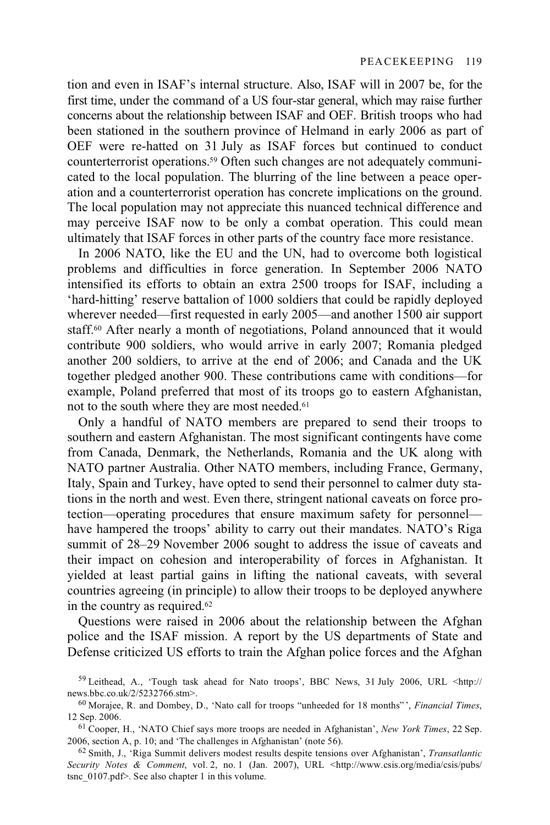tion and even in ISAF's internal structure. Also, ISAF will in 2007 be, for the first time, under the command of a US four-star general, which may raise further concerns about the relationship between ISAF and OEF. British troops who had been stationed in the southern province of Helmand in early 2006 as part of OEF were re-hatted on 31 July as ISAF forces but continued to conduct counterterrorist operations.59 Often such changes are not adequately communicated to the local population. The blurring of the line between a peace operation and a counterterrorist operation has concrete implications on the ground. The local population may not appreciate this nuanced technical difference and may perceive ISAF now to be only a combat operation. This could mean ultimately that ISAF forces in other parts of the country face more resistance.

In 2006 NATO, like the EU and the UN, had to overcome both logistical problems and difficulties in force generation. In September 2006 NATO intensified its efforts to obtain an extra 2500 troops for ISAF, including a 'hard-hitting' reserve battalion of 1000 soldiers that could be rapidly deployed wherever needed—first requested in early 2005—and another 1500 air support staff.60 After nearly a month of negotiations, Poland announced that it would contribute 900 soldiers, who would arrive in early 2007; Romania pledged another 200 soldiers, to arrive at the end of 2006; and Canada and the UK together pledged another 900. These contributions came with conditions—for example, Poland preferred that most of its troops go to eastern Afghanistan, not to the south where they are most needed.61

Only a handful of NATO members are prepared to send their troops to southern and eastern Afghanistan. The most significant contingents have come from Canada, Denmark, the Netherlands, Romania and the UK along with NATO partner Australia. Other NATO members, including France, Germany, Italy, Spain and Turkey, have opted to send their personnel to calmer duty stations in the north and west. Even there, stringent national caveats on force protection––operating procedures that ensure maximum safety for personnel–– have hampered the troops' ability to carry out their mandates. NATO's Riga summit of 28–29 November 2006 sought to address the issue of caveats and their impact on cohesion and interoperability of forces in Afghanistan. It yielded at least partial gains in lifting the national caveats, with several countries agreeing (in principle) to allow their troops to be deployed anywhere in the country as required.62

Questions were raised in 2006 about the relationship between the Afghan police and the ISAF mission. A report by the US departments of State and Defense criticized US efforts to train the Afghan police forces and the Afghan

<sup>59</sup> Leithead, A., 'Tough task ahead for Nato troops', BBC News, 31 July 2006, URL <http:// news.bbc.co.uk/2/5232766.stm>.

<sup>60</sup> Morajee, R. and Dombey, D., 'Nato call for troops "unheeded for 18 months" ', *Financial Times*,

<sup>12</sup> Sep. 2006.<br><sup>61</sup> Cooper, H., 'NATO Chief says more troops are needed in Afghanistan', *New York Times*, 22 Sep.<br>2006, section A, p. 10; and 'The challenges in Afghanistan' (note 56).

<sup>&</sup>lt;sup>62</sup> Smith, J., 'Riga Summit delivers modest results despite tensions over Afghanistan', *Transatlantic Security Notes & Comment*, vol. 2, no. 1 (Jan. 2007), URL <http://www.csis.org/media/csis/pubs/ tsnc  $0107.$ pdf>. See also chapter 1 in this volume.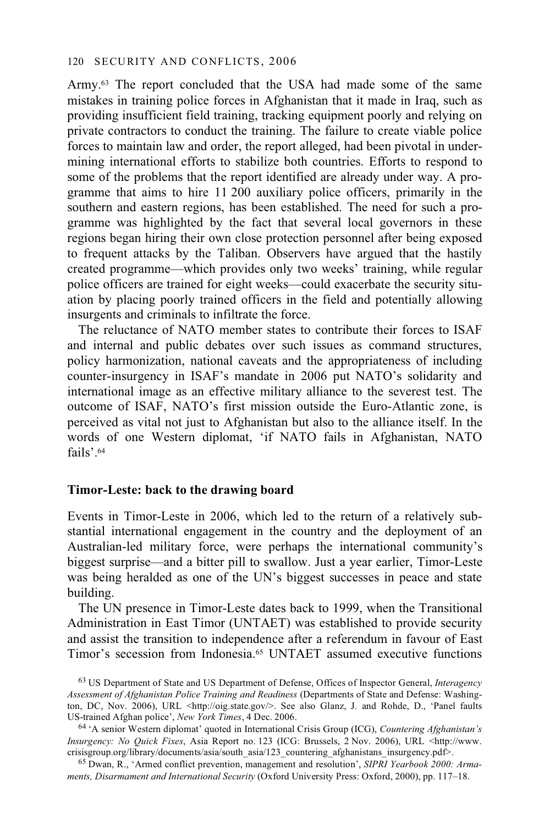Army.63 The report concluded that the USA had made some of the same mistakes in training police forces in Afghanistan that it made in Iraq, such as providing insufficient field training, tracking equipment poorly and relying on private contractors to conduct the training. The failure to create viable police forces to maintain law and order, the report alleged, had been pivotal in undermining international efforts to stabilize both countries. Efforts to respond to some of the problems that the report identified are already under way. A programme that aims to hire 11 200 auxiliary police officers, primarily in the southern and eastern regions, has been established. The need for such a programme was highlighted by the fact that several local governors in these regions began hiring their own close protection personnel after being exposed to frequent attacks by the Taliban. Observers have argued that the hastily created programme—which provides only two weeks' training, while regular police officers are trained for eight weeks—could exacerbate the security situation by placing poorly trained officers in the field and potentially allowing insurgents and criminals to infiltrate the force.

The reluctance of NATO member states to contribute their forces to ISAF and internal and public debates over such issues as command structures, policy harmonization, national caveats and the appropriateness of including counter-insurgency in ISAF's mandate in 2006 put NATO's solidarity and international image as an effective military alliance to the severest test. The outcome of ISAF, NATO's first mission outside the Euro-Atlantic zone, is perceived as vital not just to Afghanistan but also to the alliance itself. In the words of one Western diplomat, 'if NATO fails in Afghanistan, NATO fails'.64

## **Timor-Leste: back to the drawing board**

Events in Timor-Leste in 2006, which led to the return of a relatively substantial international engagement in the country and the deployment of an Australian-led military force, were perhaps the international community's biggest surprise—and a bitter pill to swallow. Just a year earlier, Timor-Leste was being heralded as one of the UN's biggest successes in peace and state building.

The UN presence in Timor-Leste dates back to 1999, when the Transitional Administration in East Timor (UNTAET) was established to provide security and assist the transition to independence after a referendum in favour of East Timor's secession from Indonesia.65 UNTAET assumed executive functions

<sup>63</sup> US Department of State and US Department of Defense, Offices of Inspector General, *Interagency Assessment of Afghanistan Police Training and Readiness* (Departments of State and Defense: Washington, DC, Nov. 2006), URL <http://oig.state.gov/>. See also Glanz, J. and Rohde, D., 'Panel faults US-trained Afghan police', New York Times, 4 Dec. 2006.

<sup>&</sup>lt;sup>64</sup> 'A senior Western diplomat' quoted in International Crisis Group (ICG), *Countering Afghanistan's Insurgency: No Quick Fixes*, Asia Report no. 123 (ICG: Brussels, 2 Nov. 2006), URL <http://www. crisisgroup.org/library/documents/asia/south\_asia/123\_countering\_afghanistans\_insurgency.pdf>.

<sup>65</sup> Dwan, R., 'Armed conflict prevention, management and resolution', *SIPRI Yearbook 2000: Armaments, Disarmament and International Security* (Oxford University Press: Oxford, 2000), pp. 117–18.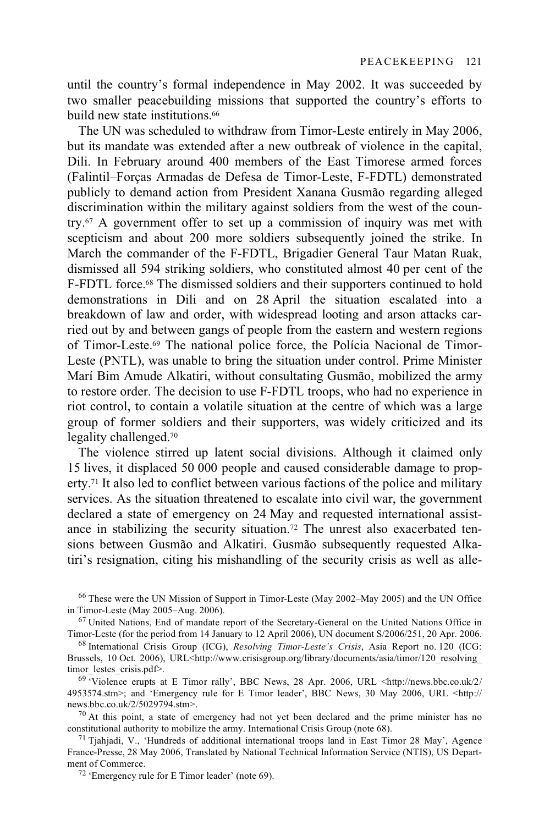until the country's formal independence in May 2002. It was succeeded by two smaller peacebuilding missions that supported the country's efforts to build new state institutions.<sup>66</sup>

The UN was scheduled to withdraw from Timor-Leste entirely in May 2006, but its mandate was extended after a new outbreak of violence in the capital, Dili. In February around 400 members of the East Timorese armed forces (Falintil–Forças Armadas de Defesa de Timor-Leste, F-FDTL) demonstrated publicly to demand action from President Xanana Gusmão regarding alleged discrimination within the military against soldiers from the west of the country.67 A government offer to set up a commission of inquiry was met with scepticism and about 200 more soldiers subsequently joined the strike. In March the commander of the F-FDTL, Brigadier General Taur Matan Ruak, dismissed all 594 striking soldiers, who constituted almost 40 per cent of the F-FDTL force.<sup>68</sup> The dismissed soldiers and their supporters continued to hold demonstrations in Dili and on 28 April the situation escalated into a breakdown of law and order, with widespread looting and arson attacks carried out by and between gangs of people from the eastern and western regions of Timor-Leste.69 The national police force, the Polícia Nacional de Timor-Leste (PNTL), was unable to bring the situation under control. Prime Minister Marí Bim Amude Alkatiri, without consultating Gusmão, mobilized the army to restore order. The decision to use F-FDTL troops, who had no experience in riot control, to contain a volatile situation at the centre of which was a large group of former soldiers and their supporters, was widely criticized and its legality challenged.70

The violence stirred up latent social divisions. Although it claimed only 15 lives, it displaced 50 000 people and caused considerable damage to property.71 It also led to conflict between various factions of the police and military services. As the situation threatened to escalate into civil war, the government declared a state of emergency on 24 May and requested international assistance in stabilizing the security situation.72 The unrest also exacerbated tensions between Gusmão and Alkatiri. Gusmão subsequently requested Alkatiri's resignation, citing his mishandling of the security crisis as well as alle-

 $70$  At this point, a state of emergency had not yet been declared and the prime minister has no constitutional authority to mobilize the army. International Crisis Group (note 68).<br><sup>71</sup> Tjahjadi, V., 'Hundreds of additional international troops land in East Timor 28 May', Agence

<sup>&</sup>lt;sup>66</sup> These were the UN Mission of Support in Timor-Leste (May 2002–May 2005) and the UN Office in Timor-Leste (May 2005–Aug. 2006).

 $<sup>67</sup>$  United Nations, End of mandate report of the Secretary-General on the United Nations Office in</sup> Timor-Leste (for the period from 14 January to 12 April 2006), UN document S/2006/251, 20 Apr. 2006. 68 International Crisis Group (ICG), *Resolving Timor-Leste's Crisis*, Asia Report no. 120 (ICG:

Brussels, 10 Oct. 2006), URL<http://www.crisisgroup.org/library/documents/asia/timor/120\_resolving timor\_lestes\_crisis.pdf>.<br><sup>69</sup> 'Violence erupts at E Timor rally', BBC News, 28 Apr. 2006, URL <http://news.bbc.co.uk/2/

<sup>4953574.</sup>stm>; and 'Emergency rule for E Timor leader', BBC News, 30 May 2006, URL <http:// news.bbc.co.uk/2/5029794.stm>.

France-Presse, 28 May 2006, Translated by National Technical Information Service (NTIS), US Department of Commerce.<br><sup>72</sup> 'Emergency rule for E Timor leader' (note 69).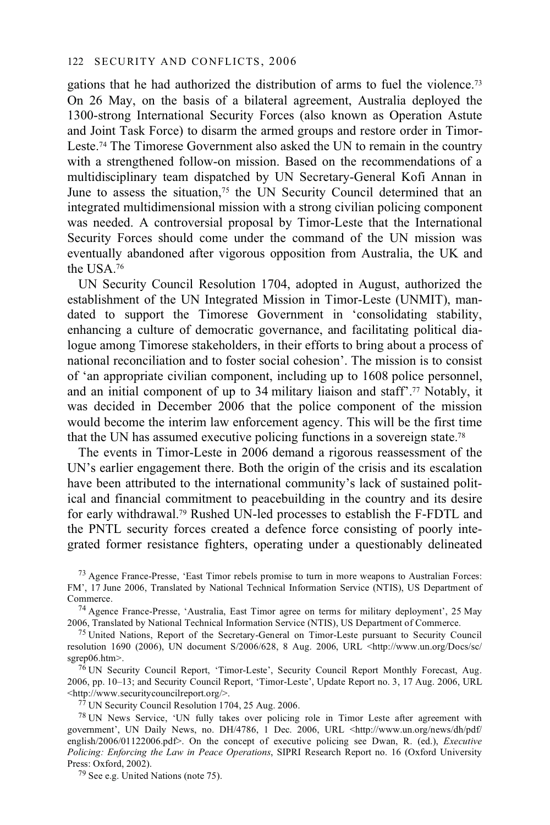gations that he had authorized the distribution of arms to fuel the violence.73 On 26 May, on the basis of a bilateral agreement, Australia deployed the 1300-strong International Security Forces (also known as Operation Astute and Joint Task Force) to disarm the armed groups and restore order in Timor-Leste.<sup>74</sup> The Timorese Government also asked the UN to remain in the country with a strengthened follow-on mission. Based on the recommendations of a multidisciplinary team dispatched by UN Secretary-General Kofi Annan in June to assess the situation,<sup>75</sup> the UN Security Council determined that an integrated multidimensional mission with a strong civilian policing component was needed. A controversial proposal by Timor-Leste that the International Security Forces should come under the command of the UN mission was eventually abandoned after vigorous opposition from Australia, the UK and the USA.76

UN Security Council Resolution 1704, adopted in August, authorized the establishment of the UN Integrated Mission in Timor-Leste (UNMIT), mandated to support the Timorese Government in 'consolidating stability, enhancing a culture of democratic governance, and facilitating political dialogue among Timorese stakeholders, in their efforts to bring about a process of national reconciliation and to foster social cohesion'. The mission is to consist of 'an appropriate civilian component, including up to 1608 police personnel, and an initial component of up to 34 military liaison and staff'.77 Notably, it was decided in December 2006 that the police component of the mission would become the interim law enforcement agency. This will be the first time that the UN has assumed executive policing functions in a sovereign state.78

The events in Timor-Leste in 2006 demand a rigorous reassessment of the UN's earlier engagement there. Both the origin of the crisis and its escalation have been attributed to the international community's lack of sustained political and financial commitment to peacebuilding in the country and its desire for early withdrawal.79 Rushed UN-led processes to establish the F-FDTL and the PNTL security forces created a defence force consisting of poorly integrated former resistance fighters, operating under a questionably delineated

73 Agence France-Presse, 'East Timor rebels promise to turn in more weapons to Australian Forces: FM', 17 June 2006, Translated by National Technical Information Service (NTIS), US Department of

Commerce.<br><sup>74</sup> Agence France-Presse, 'Australia, East Timor agree on terms for military deployment', 25 May<br>2006, Translated by National Technical Information Service (NTIS), US Department of Commerce.

<sup>75</sup> United Nations. Report of the Secretary-General on Timor-Leste pursuant to Security Council resolution 1690 (2006), UN document S/2006/628, 8 Aug. 2006, URL <http://www.un.org/Docs/sc/

<sup>76</sup> UN Security Council Report, 'Timor-Leste', Security Council Report Monthly Forecast, Aug. 2006, pp. 10–13; and Security Council Report, 'Timor-Leste', Update Report no. 3, 17 Aug. 2006, URL

 $^{77}$  UN Security Council Resolution 1704, 25 Aug. 2006.

78 UN News Service, 'UN fully takes over policing role in Timor Leste after agreement with government', UN Daily News, no. DH/4786, 1 Dec. 2006, URL <http://www.un.org/news/dh/pdf/ english/2006/01122006.pdf>. On the concept of executive policing see Dwan, R. (ed.), *Executive Policing: Enforcing the Law in Peace Operations*, SIPRI Research Report no. 16 (Oxford University Press: Oxford, 2002).

 $79$  See e.g. United Nations (note 75).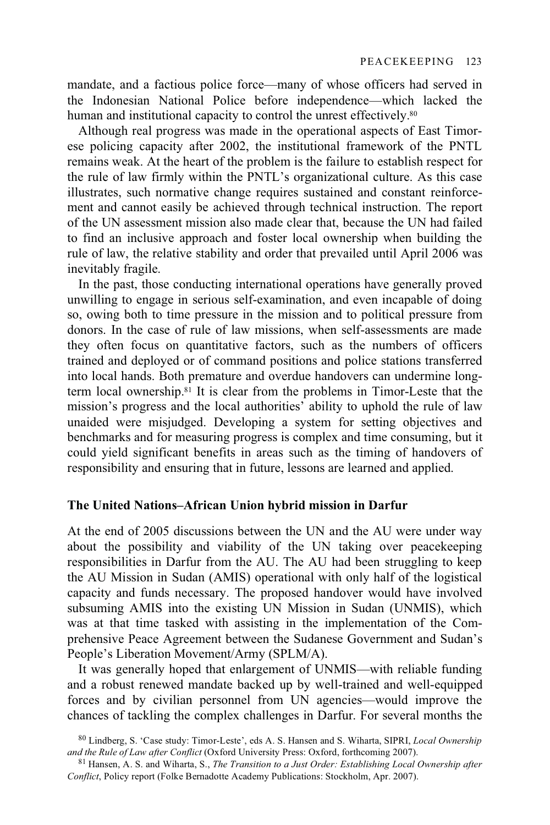mandate, and a factious police force—many of whose officers had served in the Indonesian National Police before independence—which lacked the human and institutional capacity to control the unrest effectively.<sup>80</sup>

Although real progress was made in the operational aspects of East Timorese policing capacity after 2002, the institutional framework of the PNTL remains weak. At the heart of the problem is the failure to establish respect for the rule of law firmly within the PNTL's organizational culture. As this case illustrates, such normative change requires sustained and constant reinforcement and cannot easily be achieved through technical instruction. The report of the UN assessment mission also made clear that, because the UN had failed to find an inclusive approach and foster local ownership when building the rule of law, the relative stability and order that prevailed until April 2006 was inevitably fragile.

In the past, those conducting international operations have generally proved unwilling to engage in serious self-examination, and even incapable of doing so, owing both to time pressure in the mission and to political pressure from donors. In the case of rule of law missions, when self-assessments are made they often focus on quantitative factors, such as the numbers of officers trained and deployed or of command positions and police stations transferred into local hands. Both premature and overdue handovers can undermine longterm local ownership.81 It is clear from the problems in Timor-Leste that the mission's progress and the local authorities' ability to uphold the rule of law unaided were misjudged. Developing a system for setting objectives and benchmarks and for measuring progress is complex and time consuming, but it could yield significant benefits in areas such as the timing of handovers of responsibility and ensuring that in future, lessons are learned and applied.

### **The United Nations–African Union hybrid mission in Darfur**

At the end of 2005 discussions between the UN and the AU were under way about the possibility and viability of the UN taking over peacekeeping responsibilities in Darfur from the AU. The AU had been struggling to keep the AU Mission in Sudan (AMIS) operational with only half of the logistical capacity and funds necessary. The proposed handover would have involved subsuming AMIS into the existing UN Mission in Sudan (UNMIS), which was at that time tasked with assisting in the implementation of the Comprehensive Peace Agreement between the Sudanese Government and Sudan's People's Liberation Movement/Army (SPLM/A).

It was generally hoped that enlargement of UNMIS—with reliable funding and a robust renewed mandate backed up by well-trained and well-equipped forces and by civilian personnel from UN agencies—would improve the chances of tackling the complex challenges in Darfur. For several months the

<sup>80</sup> Lindberg, S. 'Case study: Timor-Leste', eds A. S. Hansen and S. Wiharta, SIPRI, *Local Ownership* 

<sup>&</sup>lt;sup>81</sup> Hansen, A. S. and Wiharta, S., *The Transition to a Just Order: Establishing Local Ownership after Conflict*, Policy report (Folke Bernadotte Academy Publications: Stockholm, Apr. 2007).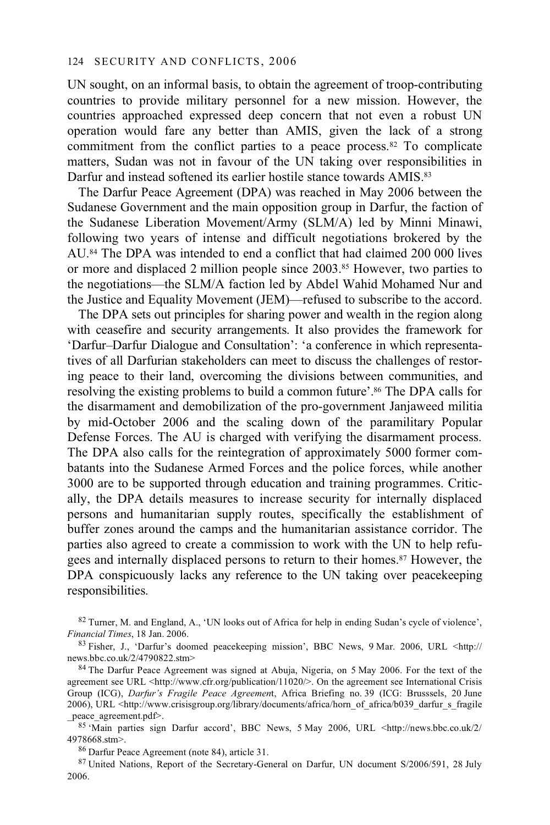UN sought, on an informal basis, to obtain the agreement of troop-contributing countries to provide military personnel for a new mission. However, the countries approached expressed deep concern that not even a robust UN operation would fare any better than AMIS, given the lack of a strong commitment from the conflict parties to a peace process.<sup>82</sup> To complicate matters, Sudan was not in favour of the UN taking over responsibilities in Darfur and instead softened its earlier hostile stance towards AMIS.<sup>83</sup>

The Darfur Peace Agreement (DPA) was reached in May 2006 between the Sudanese Government and the main opposition group in Darfur, the faction of the Sudanese Liberation Movement/Army (SLM/A) led by Minni Minawi, following two years of intense and difficult negotiations brokered by the AU.84 The DPA was intended to end a conflict that had claimed 200 000 lives or more and displaced 2 million people since 2003.85 However, two parties to the negotiations—the SLM/A faction led by Abdel Wahid Mohamed Nur and the Justice and Equality Movement (JEM)—refused to subscribe to the accord.

The DPA sets out principles for sharing power and wealth in the region along with ceasefire and security arrangements. It also provides the framework for 'Darfur–Darfur Dialogue and Consultation': 'a conference in which representatives of all Darfurian stakeholders can meet to discuss the challenges of restoring peace to their land, overcoming the divisions between communities, and resolving the existing problems to build a common future'.86 The DPA calls for the disarmament and demobilization of the pro-government Janjaweed militia by mid-October 2006 and the scaling down of the paramilitary Popular Defense Forces. The AU is charged with verifying the disarmament process. The DPA also calls for the reintegration of approximately 5000 former combatants into the Sudanese Armed Forces and the police forces, while another 3000 are to be supported through education and training programmes. Critically, the DPA details measures to increase security for internally displaced persons and humanitarian supply routes, specifically the establishment of buffer zones around the camps and the humanitarian assistance corridor. The parties also agreed to create a commission to work with the UN to help refugees and internally displaced persons to return to their homes.87 However, the DPA conspicuously lacks any reference to the UN taking over peacekeeping responsibilities.

82 Turner, M. and England, A., 'UN looks out of Africa for help in ending Sudan's cycle of violence',

*Financial Times*, 18 Jan. 2006.<br><sup>83</sup> Fisher, J., 'Darfur's doomed peacekeeping mission', BBC News, 9 Mar. 2006, URL <http://<br>news.bbc.co.uk/2/4790822.stm>

<sup>84</sup> The Darfur Peace Agreement was signed at Abuja, Nigeria, on 5 May 2006. For the text of the agreement see URL <http://www.cfr.org/publication/11020/>. On the agreement see International Crisis Group (ICG), *Darfur's Fragile Peace Agreemen*t, Africa Briefing no. 39 (ICG: Brusssels, 20 June 2006), URL <http://www.crisisgroup.org/library/documents/africa/horn\_of\_africa/b039\_darfur\_s\_fragile peace\_agreement.pdf>.

85 'Main parties sign Darfur accord', BBC News, 5 May 2006, URL <http://news.bbc.co.uk/2/ 4978668.stm>.<br><sup>86</sup> Darfur Peace Agreement (note 84), article 31.

87 United Nations, Report of the Secretary-General on Darfur, UN document S/2006/591, 28 July 2006.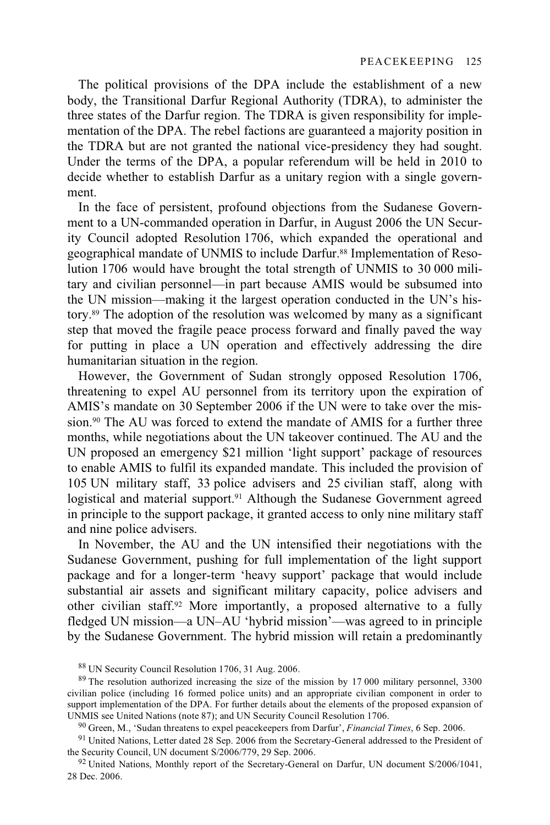The political provisions of the DPA include the establishment of a new body, the Transitional Darfur Regional Authority (TDRA), to administer the three states of the Darfur region. The TDRA is given responsibility for implementation of the DPA. The rebel factions are guaranteed a majority position in the TDRA but are not granted the national vice-presidency they had sought. Under the terms of the DPA, a popular referendum will be held in 2010 to decide whether to establish Darfur as a unitary region with a single government.

In the face of persistent, profound objections from the Sudanese Government to a UN-commanded operation in Darfur, in August 2006 the UN Security Council adopted Resolution 1706, which expanded the operational and geographical mandate of UNMIS to include Darfur.88 Implementation of Resolution 1706 would have brought the total strength of UNMIS to 30 000 military and civilian personnel—in part because AMIS would be subsumed into the UN mission—making it the largest operation conducted in the UN's history.89 The adoption of the resolution was welcomed by many as a significant step that moved the fragile peace process forward and finally paved the way for putting in place a UN operation and effectively addressing the dire humanitarian situation in the region.

However, the Government of Sudan strongly opposed Resolution 1706, threatening to expel AU personnel from its territory upon the expiration of AMIS's mandate on 30 September 2006 if the UN were to take over the mission.90 The AU was forced to extend the mandate of AMIS for a further three months, while negotiations about the UN takeover continued. The AU and the UN proposed an emergency \$21 million 'light support' package of resources to enable AMIS to fulfil its expanded mandate. This included the provision of 105 UN military staff, 33 police advisers and 25 civilian staff, along with logistical and material support.<sup>91</sup> Although the Sudanese Government agreed in principle to the support package, it granted access to only nine military staff and nine police advisers.

In November, the AU and the UN intensified their negotiations with the Sudanese Government, pushing for full implementation of the light support package and for a longer-term 'heavy support' package that would include substantial air assets and significant military capacity, police advisers and other civilian staff.92 More importantly, a proposed alternative to a fully fledged UN mission—a UN–AU 'hybrid mission'—was agreed to in principle by the Sudanese Government. The hybrid mission will retain a predominantly

<sup>88</sup> UN Security Council Resolution 1706, 31 Aug. 2006.

<sup>&</sup>lt;sup>89</sup> The resolution authorized increasing the size of the mission by 17 000 military personnel, 3300 civilian police (including 16 formed police units) and an appropriate civilian component in order to support implementation of the DPA. For further details about the elements of the proposed expansion of UNMIS see United Nations (note 87); and UN Security Council Resolution 1706.

<sup>&</sup>lt;sup>90</sup> Green, M., 'Sudan threatens to expel peacekeepers from Darfur', *Financial Times*, 6 Sep. 2006.

<sup>&</sup>lt;sup>91</sup> United Nations, Letter dated 28 Sep. 2006 from the Secretary-General addressed to the President of the Security Council, UN document  $S/2006/779$ , 29 Sep. 2006.

 $92$  United Nations, Monthly report of the Secretary-General on Darfur, UN document S/2006/1041, 28 Dec. 2006.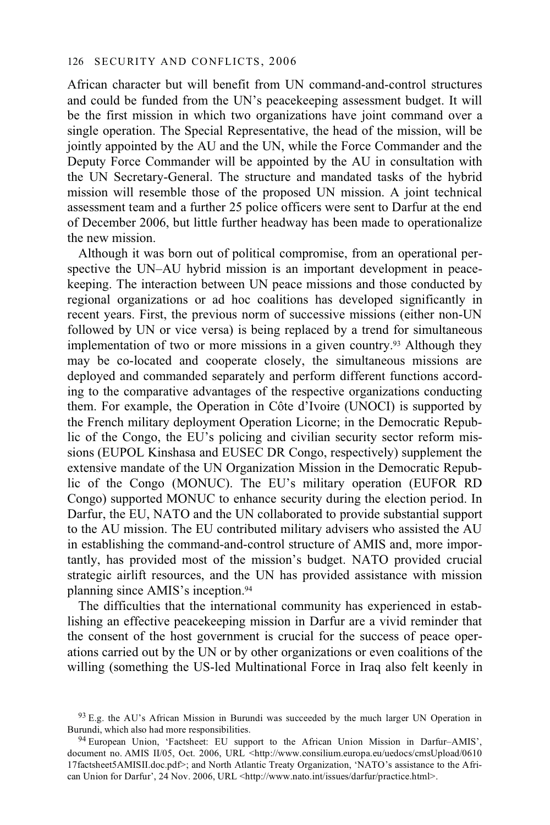African character but will benefit from UN command-and-control structures and could be funded from the UN's peacekeeping assessment budget. It will be the first mission in which two organizations have joint command over a single operation. The Special Representative, the head of the mission, will be jointly appointed by the AU and the UN, while the Force Commander and the Deputy Force Commander will be appointed by the AU in consultation with the UN Secretary-General. The structure and mandated tasks of the hybrid mission will resemble those of the proposed UN mission. A joint technical assessment team and a further 25 police officers were sent to Darfur at the end of December 2006, but little further headway has been made to operationalize the new mission.

Although it was born out of political compromise, from an operational perspective the UN–AU hybrid mission is an important development in peacekeeping. The interaction between UN peace missions and those conducted by regional organizations or ad hoc coalitions has developed significantly in recent years. First, the previous norm of successive missions (either non-UN followed by UN or vice versa) is being replaced by a trend for simultaneous implementation of two or more missions in a given country.93 Although they may be co-located and cooperate closely, the simultaneous missions are deployed and commanded separately and perform different functions according to the comparative advantages of the respective organizations conducting them. For example, the Operation in Côte d'Ivoire (UNOCI) is supported by the French military deployment Operation Licorne; in the Democratic Republic of the Congo, the EU's policing and civilian security sector reform missions (EUPOL Kinshasa and EUSEC DR Congo, respectively) supplement the extensive mandate of the UN Organization Mission in the Democratic Republic of the Congo (MONUC). The EU's military operation (EUFOR RD Congo) supported MONUC to enhance security during the election period. In Darfur, the EU, NATO and the UN collaborated to provide substantial support to the AU mission. The EU contributed military advisers who assisted the AU in establishing the command-and-control structure of AMIS and, more importantly, has provided most of the mission's budget. NATO provided crucial strategic airlift resources, and the UN has provided assistance with mission planning since AMIS's inception.94

The difficulties that the international community has experienced in establishing an effective peacekeeping mission in Darfur are a vivid reminder that the consent of the host government is crucial for the success of peace operations carried out by the UN or by other organizations or even coalitions of the willing (something the US-led Multinational Force in Iraq also felt keenly in

 $93$  E.g. the AU's African Mission in Burundi was succeeded by the much larger UN Operation in Burundi, which also had more responsibilities.

<sup>&</sup>lt;sup>94</sup> European Union, 'Factsheet: EU support to the African Union Mission in Darfur–AMIS', document no. AMIS II/05, Oct. 2006, URL <http://www.consilium.europa.eu/uedocs/cmsUpload/0610 17factsheet5AMISII.doc.pdf>; and North Atlantic Treaty Organization, 'NATO's assistance to the African Union for Darfur', 24 Nov. 2006, URL <http://www.nato.int/issues/darfur/practice.html>.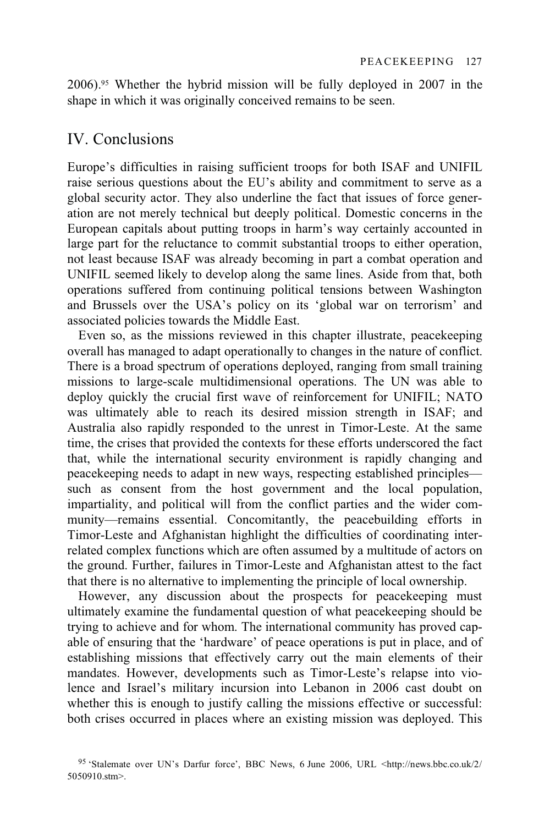2006).95 Whether the hybrid mission will be fully deployed in 2007 in the shape in which it was originally conceived remains to be seen.

# IV. Conclusions

Europe's difficulties in raising sufficient troops for both ISAF and UNIFIL raise serious questions about the EU's ability and commitment to serve as a global security actor. They also underline the fact that issues of force generation are not merely technical but deeply political. Domestic concerns in the European capitals about putting troops in harm's way certainly accounted in large part for the reluctance to commit substantial troops to either operation, not least because ISAF was already becoming in part a combat operation and UNIFIL seemed likely to develop along the same lines. Aside from that, both operations suffered from continuing political tensions between Washington and Brussels over the USA's policy on its 'global war on terrorism' and associated policies towards the Middle East.

Even so, as the missions reviewed in this chapter illustrate, peacekeeping overall has managed to adapt operationally to changes in the nature of conflict. There is a broad spectrum of operations deployed, ranging from small training missions to large-scale multidimensional operations. The UN was able to deploy quickly the crucial first wave of reinforcement for UNIFIL; NATO was ultimately able to reach its desired mission strength in ISAF; and Australia also rapidly responded to the unrest in Timor-Leste. At the same time, the crises that provided the contexts for these efforts underscored the fact that, while the international security environment is rapidly changing and peacekeeping needs to adapt in new ways, respecting established principles such as consent from the host government and the local population, impartiality, and political will from the conflict parties and the wider community—remains essential. Concomitantly, the peacebuilding efforts in Timor-Leste and Afghanistan highlight the difficulties of coordinating interrelated complex functions which are often assumed by a multitude of actors on the ground. Further, failures in Timor-Leste and Afghanistan attest to the fact that there is no alternative to implementing the principle of local ownership.

However, any discussion about the prospects for peacekeeping must ultimately examine the fundamental question of what peacekeeping should be trying to achieve and for whom. The international community has proved capable of ensuring that the 'hardware' of peace operations is put in place, and of establishing missions that effectively carry out the main elements of their mandates. However, developments such as Timor-Leste's relapse into violence and Israel's military incursion into Lebanon in 2006 cast doubt on whether this is enough to justify calling the missions effective or successful: both crises occurred in places where an existing mission was deployed. This

<sup>95 &#</sup>x27;Stalemate over UN's Darfur force', BBC News, 6 June 2006, URL <http://news.bbc.co.uk/2/ 5050910.stm>.